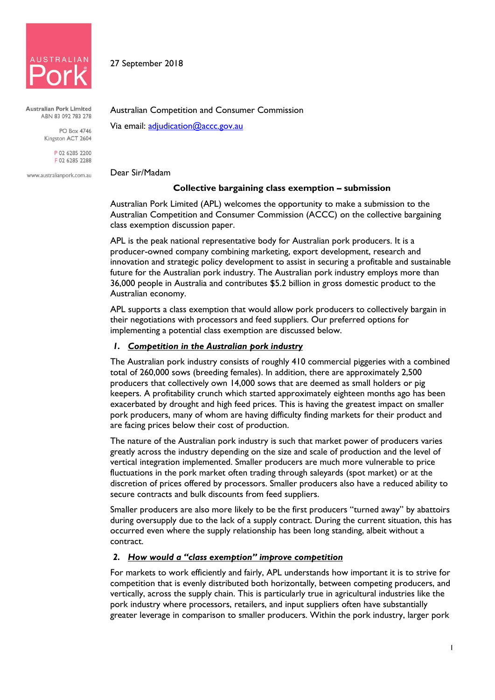

**Australian Pork Limited** ABN 83 092 783 278

> **PO Box 4746** Kingston ACT 2604

> > P 02 6285 2200 F 02 6285 2288

www.australianpork.com.au

Australian Competition and Consumer Commission

Via email: adjudication@accc.gov.au

Dear Sir/Madam

27 September 2018

## **Collective bargaining class exemption – submission**

Australian Pork Limited (APL) welcomes the opportunity to make a submission to the Australian Competition and Consumer Commission (ACCC) on the collective bargaining class exemption discussion paper.

APL is the peak national representative body for Australian pork producers. It is a producer-owned company combining marketing, export development, research and innovation and strategic policy development to assist in securing a profitable and sustainable future for the Australian pork industry. The Australian pork industry employs more than 36,000 people in Australia and contributes \$5.2 billion in gross domestic product to the Australian economy.

APL supports a class exemption that would allow pork producers to collectively bargain in their negotiations with processors and feed suppliers. Our preferred options for implementing a potential class exemption are discussed below.

# *1. Competition in the Australian pork industry*

The Australian pork industry consists of roughly 410 commercial piggeries with a combined total of 260,000 sows (breeding females). In addition, there are approximately 2,500 producers that collectively own 14,000 sows that are deemed as small holders or pig keepers. A profitability crunch which started approximately eighteen months ago has been exacerbated by drought and high feed prices. This is having the greatest impact on smaller pork producers, many of whom are having difficulty finding markets for their product and are facing prices below their cost of production.

The nature of the Australian pork industry is such that market power of producers varies greatly across the industry depending on the size and scale of production and the level of vertical integration implemented. Smaller producers are much more vulnerable to price fluctuations in the pork market often trading through saleyards (spot market) or at the discretion of prices offered by processors. Smaller producers also have a reduced ability to secure contracts and bulk discounts from feed suppliers.

Smaller producers are also more likely to be the first producers "turned away" by abattoirs during oversupply due to the lack of a supply contract. During the current situation, this has occurred even where the supply relationship has been long standing, albeit without a contract.

## *2. How would a "class exemption" improve competition*

For markets to work efficiently and fairly, APL understands how important it is to strive for competition that is evenly distributed both horizontally, between competing producers, and vertically, across the supply chain. This is particularly true in agricultural industries like the pork industry where processors, retailers, and input suppliers often have substantially greater leverage in comparison to smaller producers. Within the pork industry, larger pork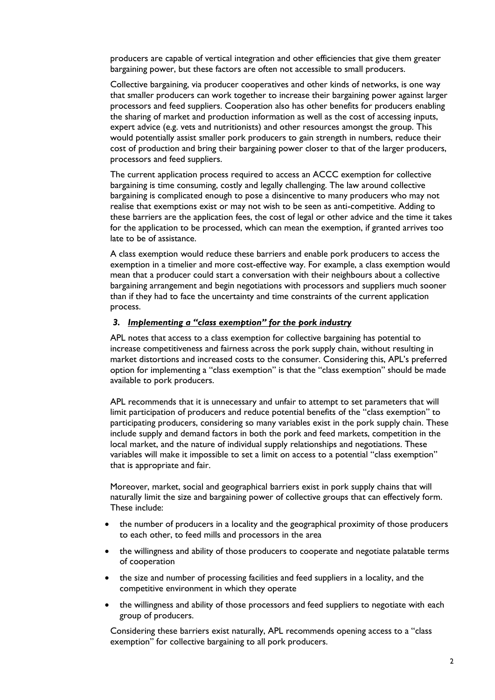producers are capable of vertical integration and other efficiencies that give them greater bargaining power, but these factors are often not accessible to small producers.

Collective bargaining, via producer cooperatives and other kinds of networks, is one way that smaller producers can work together to increase their bargaining power against larger processors and feed suppliers. Cooperation also has other benefits for producers enabling the sharing of market and production information as well as the cost of accessing inputs, expert advice (e.g. vets and nutritionists) and other resources amongst the group. This would potentially assist smaller pork producers to gain strength in numbers, reduce their cost of production and bring their bargaining power closer to that of the larger producers, processors and feed suppliers.

The current application process required to access an ACCC exemption for collective bargaining is time consuming, costly and legally challenging. The law around collective bargaining is complicated enough to pose a disincentive to many producers who may not realise that exemptions exist or may not wish to be seen as anti-competitive. Adding to these barriers are the application fees, the cost of legal or other advice and the time it takes for the application to be processed, which can mean the exemption, if granted arrives too late to be of assistance.

A class exemption would reduce these barriers and enable pork producers to access the exemption in a timelier and more cost-effective way. For example, a class exemption would mean that a producer could start a conversation with their neighbours about a collective bargaining arrangement and begin negotiations with processors and suppliers much sooner than if they had to face the uncertainty and time constraints of the current application process.

#### *3. Implementing a "class exemption" for the pork industry*

APL notes that access to a class exemption for collective bargaining has potential to increase competitiveness and fairness across the pork supply chain, without resulting in market distortions and increased costs to the consumer. Considering this, APL's preferred option for implementing a "class exemption" is that the "class exemption" should be made available to pork producers.

APL recommends that it is unnecessary and unfair to attempt to set parameters that will limit participation of producers and reduce potential benefits of the "class exemption" to participating producers, considering so many variables exist in the pork supply chain. These include supply and demand factors in both the pork and feed markets, competition in the local market, and the nature of individual supply relationships and negotiations. These variables will make it impossible to set a limit on access to a potential "class exemption" that is appropriate and fair.

Moreover, market, social and geographical barriers exist in pork supply chains that will naturally limit the size and bargaining power of collective groups that can effectively form. These include:

- the number of producers in a locality and the geographical proximity of those producers to each other, to feed mills and processors in the area
- the willingness and ability of those producers to cooperate and negotiate palatable terms of cooperation
- the size and number of processing facilities and feed suppliers in a locality, and the competitive environment in which they operate
- the willingness and ability of those processors and feed suppliers to negotiate with each group of producers.

Considering these barriers exist naturally, APL recommends opening access to a "class exemption" for collective bargaining to all pork producers.